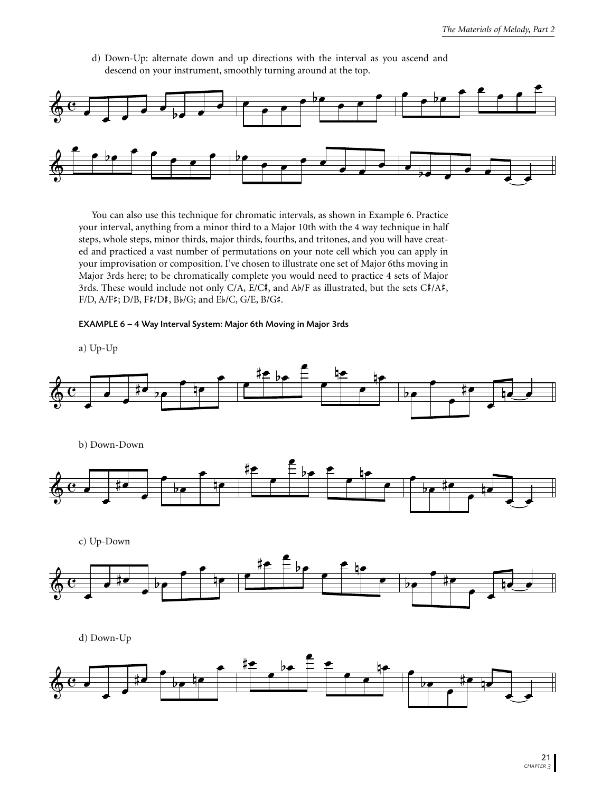d) Down-Up: alternate down and up directions with the interval as you ascend and descend on your instrument, smoothly turning around at the top.



You can also use this technique for chromatic intervals, as shown in Example 6. Practice your interval, anything from a minor third to a Major 10th with the 4 way technique in half steps, whole steps, minor thirds, major thirds, fourths, and tritones, and you will have created and practiced a vast number of permutations on your note cell which you can apply in your improvisation or composition. I've chosen to illustrate one set of Major 6ths moving in Major 3rds here; to be chromatically complete you would need to practice 4 sets of Major 3rds. These would include not only C/A, E/C# , and Ab/F as illustrated, but the sets C#/A#, F/D, A/F#; D/B, F#/D#, Bb/G; and Eb/C, G/E, B/G# .

# EXAMPLE 6 – 4 Way Interval System: Major 6th Moving in Major 3rds

a) Up-Up

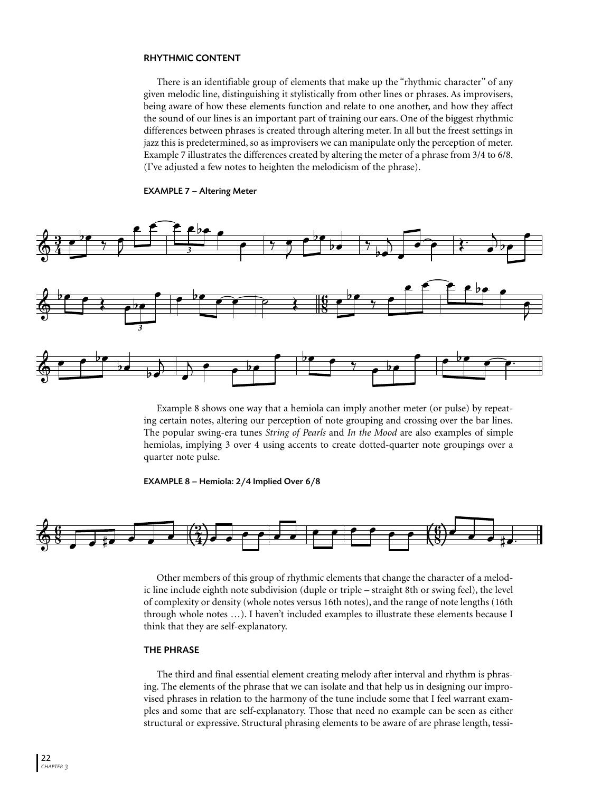#### RHYTHMIC CONTENT

There is an identifiable group of elements that make up the "rhythmic character" of any given melodic line, distinguishing it stylistically from other lines or phrases. As improvisers, being aware of how these elements function and relate to one another, and how they affect the sound of our lines is an important part of training our ears. One of the biggest rhythmic differences between phrases is created through altering meter. In all but the freest settings in jazz this is predetermined, so as improvisers we can manipulate only the perception of meter. Example 7 illustrates the differences created by altering the meter of a phrase from 3/4 to 6/8. (I've adjusted a few notes to heighten the melodicism of the phrase).





Example 8 shows one way that a hemiola can imply another meter (or pulse) by repeating certain notes, altering our perception of note grouping and crossing over the bar lines. The popular swing-era tunes *String of Pearls* and *In the Mood* are also examples of simple hemiolas, implying 3 over 4 using accents to create dotted-quarter note groupings over a quarter note pulse.

EXAMPLE 8 – Hemiola: 2/4 Implied Over 6/8



Other members of this group of rhythmic elements that change the character of a melodic line include eighth note subdivision (duple or triple – straight 8th or swing feel), the level of complexity or density (whole notes versus 16th notes), and the range of note lengths (16th through whole notes …). I haven't included examples to illustrate these elements because I think that they are self-explanatory.

#### THE PHRASE

The third and final essential element creating melody after interval and rhythm is phrasing. The elements of the phrase that we can isolate and that help us in designing our improvised phrases in relation to the harmony of the tune include some that I feel warrant examples and some that are self-explanatory. Those that need no example can be seen as either structural or expressive. Structural phrasing elements to be aware of are phrase length, tessi-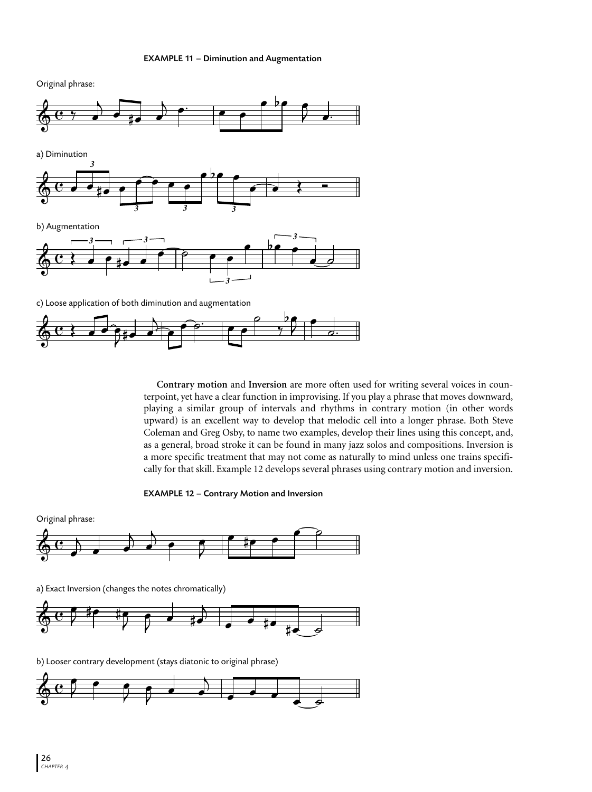#### EXAMPLE 11 – Diminution and Augmentation

Original phrase:



**Contrary motion** and **Inversion** are more often used for writing several voices in counterpoint, yet have a clear function in improvising. If you play a phrase that moves downward, playing a similar group of intervals and rhythms in contrary motion (in other words upward) is an excellent way to develop that melodic cell into a longer phrase. Both Steve Coleman and Greg Osby, to name two examples, develop their lines using this concept, and, as a general, broad stroke it can be found in many jazz solos and compositions. Inversion is a more specific treatment that may not come as naturally to mind unless one trains specifically for that skill. Example 12 develops several phrases using contrary motion and inversion.

EXAMPLE 12 – Contrary Motion and Inversion

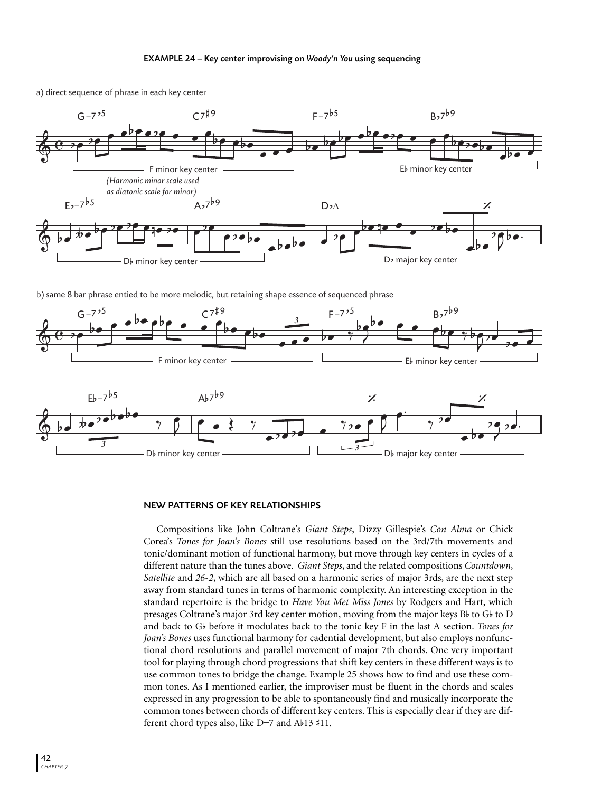#### EXAMPLE 24 – Key center improvising on Woody'n You using sequencing



a) direct sequence of phrase in each key center

b) same 8 bar phrase entied to be more melodic, but retaining shape essence of sequenced phrase



#### NEW PATTERNS OF KEY RELATIONSHIPS

Compositions like John Coltrane's *Giant Steps*, Dizzy Gillespie's *Con Alma* or Chick Corea's *Tones for Joan's Bones* still use resolutions based on the 3rd/7th movements and tonic/dominant motion of functional harmony, but move through key centers in cycles of a different nature than the tunes above. *Giant Steps*, and the related compositions *Countdown*, *Satellite* and *26-2*, which are all based on a harmonic series of major 3rds, are the next step away from standard tunes in terms of harmonic complexity. An interesting exception in the standard repertoire is the bridge to *Have You Met Miss Jones* by Rodgers and Hart, which presages Coltrane's major 3rd key center motion, moving from the major keys Bb to Gb to D and back to Gb before it modulates back to the tonic key F in the last A section. *Tones for Joan's Bones* uses functional harmony for cadential development, but also employs nonfunctional chord resolutions and parallel movement of major 7th chords. One very important tool for playing through chord progressions that shift key centers in these different ways is to use common tones to bridge the change. Example 25 shows how to find and use these common tones. As I mentioned earlier, the improviser must be fluent in the chords and scales expressed in any progression to be able to spontaneously find and musically incorporate the common tones between chords of different key centers. This is especially clear if they are different chord types also, like D–7 and Ab13 #11.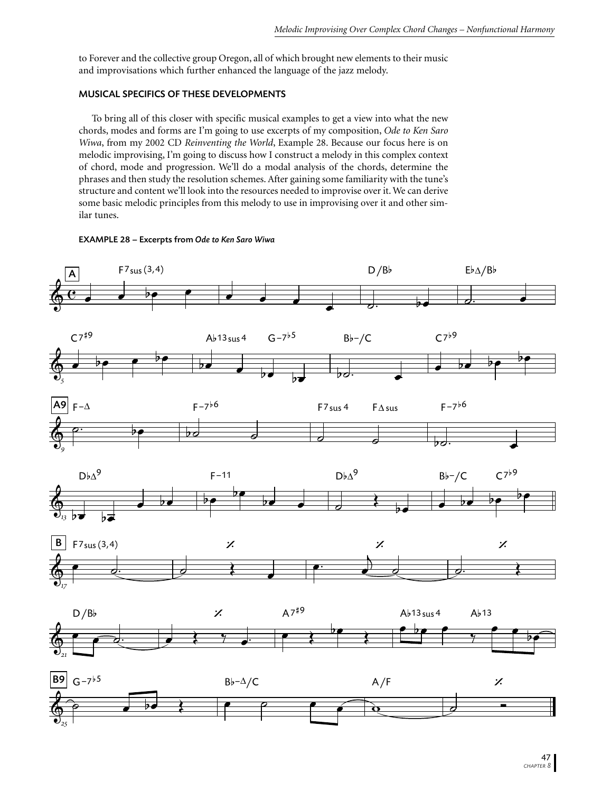to Forever and the collective group Oregon, all of which brought new elements to their music and improvisations which further enhanced the language of the jazz melody.

# MUSICAL SPECIFICS OF THESE DEVELOPMENTS

To bring all of this closer with specific musical examples to get a view into what the new chords, modes and forms are I'm going to use excerpts of my composition, *Ode to Ken Saro Wiwa*, from my 2002 CD *Reinventing the World*, Example 28. Because our focus here is on melodic improvising, I'm going to discuss how I construct a melody in this complex context of chord, mode and progression. We'll do a modal analysis of the chords, determine the phrases and then study the resolution schemes. After gaining some familiarity with the tune's structure and content we'll look into the resources needed to improvise over it. We can derive some basic melodic principles from this melody to use in improvising over it and other similar tunes.

# EXAMPLE 28 – Excerpts from Ode to Ken Saro Wiwa

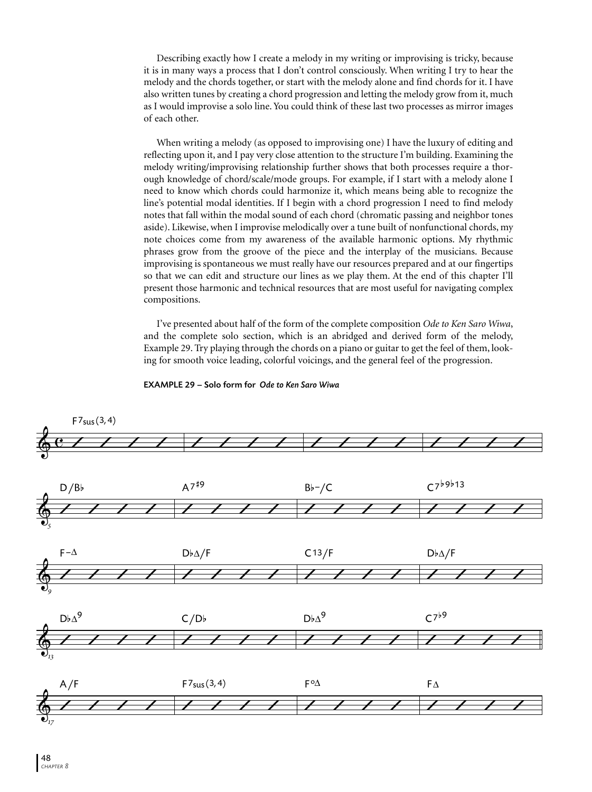Describing exactly how I create a melody in my writing or improvising is tricky, because it is in many ways a process that I don't control consciously. When writing I try to hear the melody and the chords together, or start with the melody alone and find chords for it. I have also written tunes by creating a chord progression and letting the melody grow from it, much as I would improvise a solo line. You could think of these last two processes as mirror images of each other.

When writing a melody (as opposed to improvising one) I have the luxury of editing and reflecting upon it, and I pay very close attention to the structure I'm building. Examining the melody writing/improvising relationship further shows that both processes require a thorough knowledge of chord/scale/mode groups. For example, if I start with a melody alone I need to know which chords could harmonize it, which means being able to recognize the line's potential modal identities. If I begin with a chord progression I need to find melody notes that fall within the modal sound of each chord (chromatic passing and neighbor tones aside). Likewise, when I improvise melodically over a tune built of nonfunctional chords, my note choices come from my awareness of the available harmonic options. My rhythmic phrases grow from the groove of the piece and the interplay of the musicians. Because improvising is spontaneous we must really have our resources prepared and at our fingertips so that we can edit and structure our lines as we play them. At the end of this chapter I'll present those harmonic and technical resources that are most useful for navigating complex compositions.

I've presented about half of the form of the complete composition *Ode to Ken Saro Wiwa*, and the complete solo section, which is an abridged and derived form of the melody, Example 29. Try playing through the chords on a piano or guitar to get the feel of them, looking for smooth voice leading, colorful voicings, and the general feel of the progression.

![](_page_5_Figure_3.jpeg)

#### EXAMPLE 29 – Solo form for Ode to Ken Saro Wiwa

48 chapter 8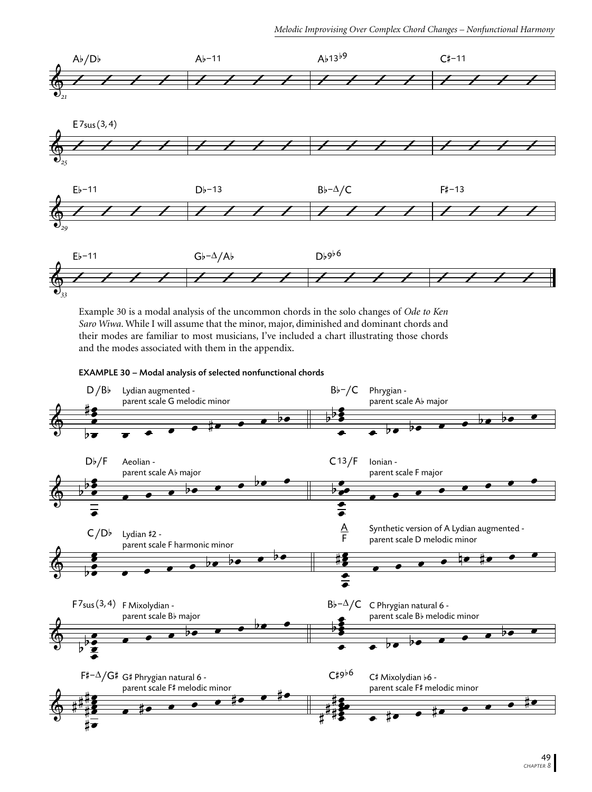![](_page_6_Figure_1.jpeg)

Example 30 is a modal analysis of the uncommon chords in the solo changes of *Ode to Ken Saro Wiwa*. While I will assume that the minor, major, diminished and dominant chords and their modes are familiar to most musicians, I've included a chart illustrating those chords and the modes associated with them in the appendix.

![](_page_6_Figure_3.jpeg)

![](_page_6_Figure_4.jpeg)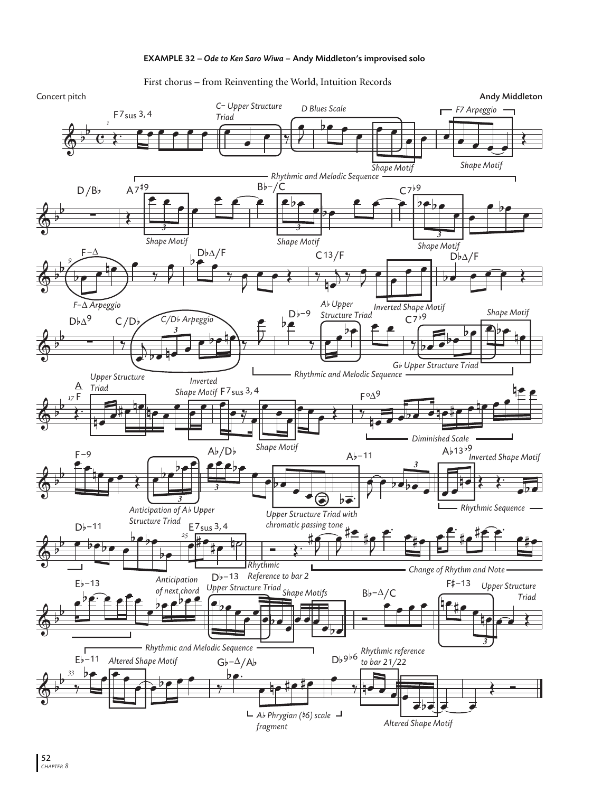![](_page_7_Figure_1.jpeg)

First chorus – from Reinventing the World, Intuition Records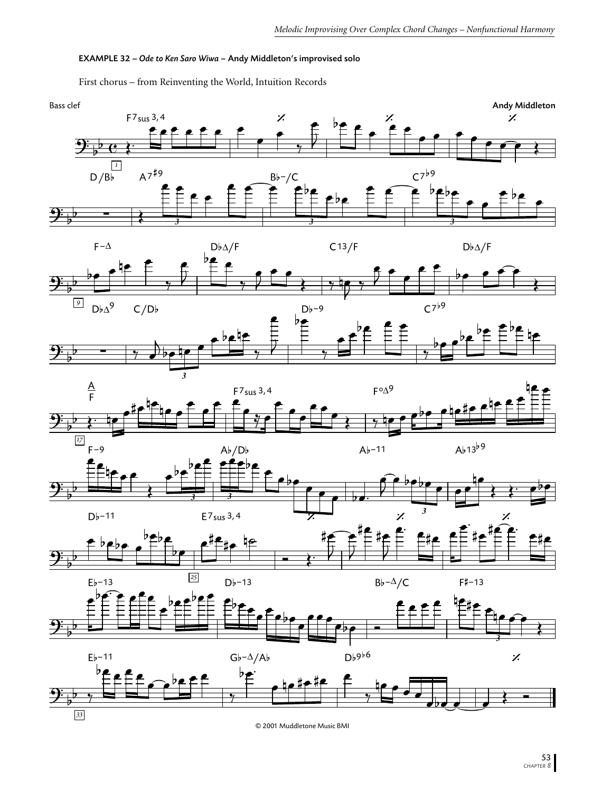$\frac{1}{2}$  $\frac{1}{2}$  $D/Bb$ Œ. <sup>œ</sup> <sup>œ</sup> <sup>œ</sup> <sup>œ</sup> <sup>œ</sup> <sup>œ</sup> F7sus 3, 4 œ œ ′<br>∽  $\frac{1}{\sqrt{2}}$ .<br>'/  $\bullet$  be  $\bullet$ œ  $\frac{2}{\epsilon}$  $\overline{z}$ .<br>'/  $\overline{r}$ '  $\overline{2}$  $\overline{a}$ Œ *3*  $\overline{u}$  $\overline{a}$  $\bullet$ A7 #9  $Bb^-/C$ *3* œ bœ  $\bullet$   $\bullet$ C<br>≧ *3* y<br>beho  $\ddot{\bullet}$ œ bœ œ  $C7^{b9}$  $9:5$ b  $\overline{9}$ ╒╌△<br>╘╺╸<del>╒</del>╹╤╴╒  $\frac{1}{\sqrt{2}}$ œ F–∆ bœ œ <sup>D</sup>b∆/F  $\frac{6}{x}$ Œ  $\frac{1}{2}$  $\frac{6}{1}$ œ œ œ  $\overline{a}$  $C<sub>13/F</sub>$  $\mathbf{b}$ e  $\mathbf{e}$ Œ <sup>D</sup>b∆/F  $\frac{1}{2}$  $\overline{a}$  $Db\Delta^9$  $\begin{array}{c}\n\downarrow \\
\hline\n\downarrow\n\end{array}$  $\overline{\mathsf{r}}$ *3*  $b \bullet b$ œ bœ nœ  $\frac{1}{\sqrt{2}}$ œ  $C/Db$  $Db-9$ —<br>€7  $\overline{e}$  $b \bullet \bullet$ —<br>€7  $b$ e be E<sup>b</sup>ehe  $C7^{b9}$  $\frac{1}{2}$ b  $\overline{I7}$ .<br><del>} . i ø</del> ▃<sub>⋕</sub>ҽ<mark>┆</mark>═╽*๏*▗ œ œ œ  $\frac{A}{F}$  $\frac{A}{F}$  F œ F7sus 3, 4  $\frac{1}{2}$ œ œ œ œ œ  $\overline{\mathbf{C}}$ ╒∘△<sup>9</sup><br><del>。。。。 </del>  $F^{\circ}$ <sup>9</sup>  $\frac{1}{2}$ l<br>h ╒╶᠀<br>▛▁*▆*<br>⊟▁▙<sub></sub>▆▁▃▗ Œ œ *3* bœ bœœ  $F-9$ *3* Ab/Db<br>●<del>£●</del>be œ œ bœ  $\overline{e}$  $\overline{\phantom{a}}$  $\hat{c}$ *3*  $b$ ebe $\overline{c}$  $Ab-11$  $\overline{\mathbf{e}}$ nœ  $\lambda$   $\lambda$   $\theta$  $A_{b13}$ <sub>b</sub>9  $\frac{1}{2}$ b œ bœbœ œ bœbœ  $\overline{b}$  $Db-11$  $25$  $e^{\sharp}$ e ie E7sus 3, 4 Ó Œ. J .<br>شر<sup>4</sup> -<br>7. F<br>J œ #œ J #œ %<br>£. e#e ' œ —<br>⊷  $\overrightarrow{a}$ .<br>'/  $\frac{1}{2}$ b  $E_{b-13}$ eber œ pe<br>b⊷ D,−13<br>Eb<del>e</del> œ œ œbœ œ œ œ œ  $\overline{\bullet}$  $Db-13$ Ó ⁄⊂<br>∉ ⊿ *⊕ ₽* B<sub>b</sub>–∆/C ▔<sup>#</sup>▔▔<br>▙▆<sub></sub> *3* <u>ene ce .</u> <sup>F</sup>#–13  $\frac{1}{2}$ b 33  $\overline{\mathbf{e}_{t}}$  $b$ e  $\bullet$  e  $\bullet$  $\mathbb{R}^{b}$ e e f <sup>E</sup>b–11  $\overline{\mathbf{e}_{t}}$ Gb–∆/Ab<br> #<del>@</del><br> #**@** œ ِ<br>پ  $\overline{\cdot}$ œbœ œ .<br>D<sub>b9</sub>b6  $\overrightarrow{c}$  $\mathscr X$ Bass clef **Andy Middleton** © 2001 Muddletone Music BMI

First chorus – from Reinventing the World, Intuition Records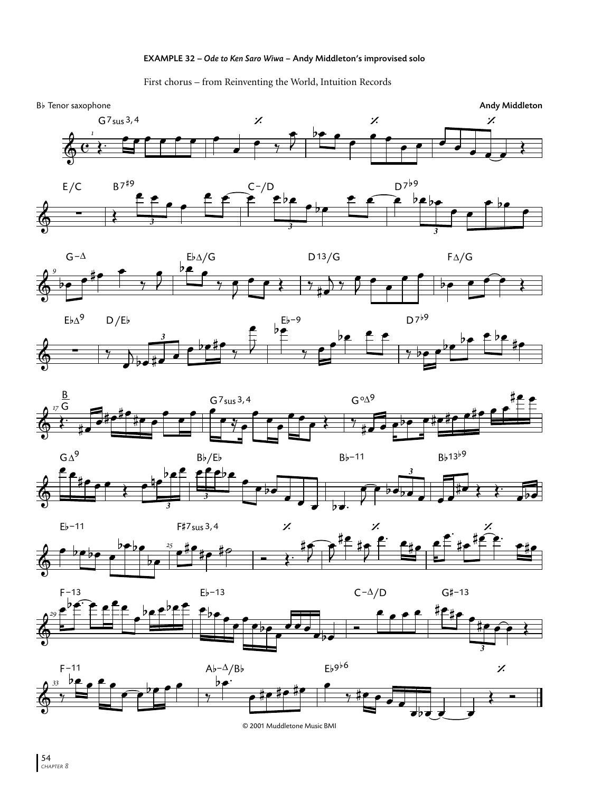# First chorus – from Reinventing the World, Intuition Records

![](_page_9_Figure_2.jpeg)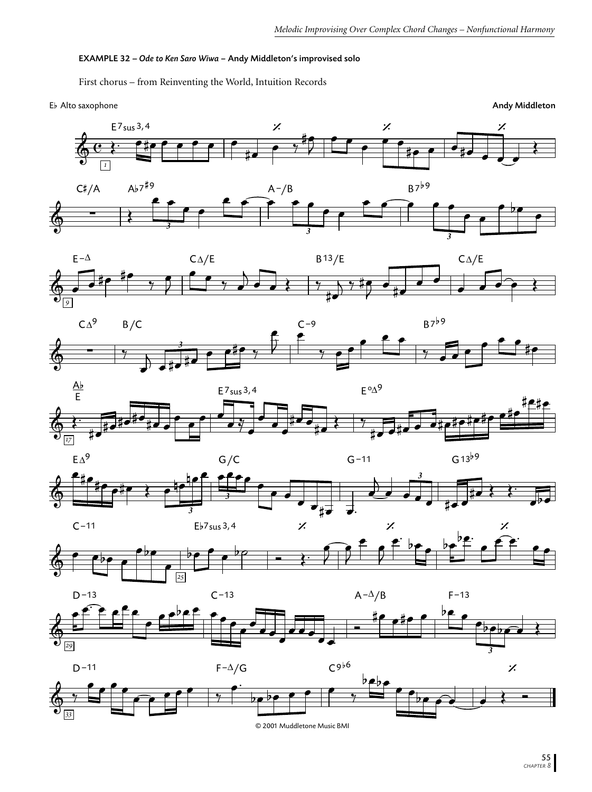First chorus – from Reinventing the World, Intuition Records

![](_page_10_Figure_3.jpeg)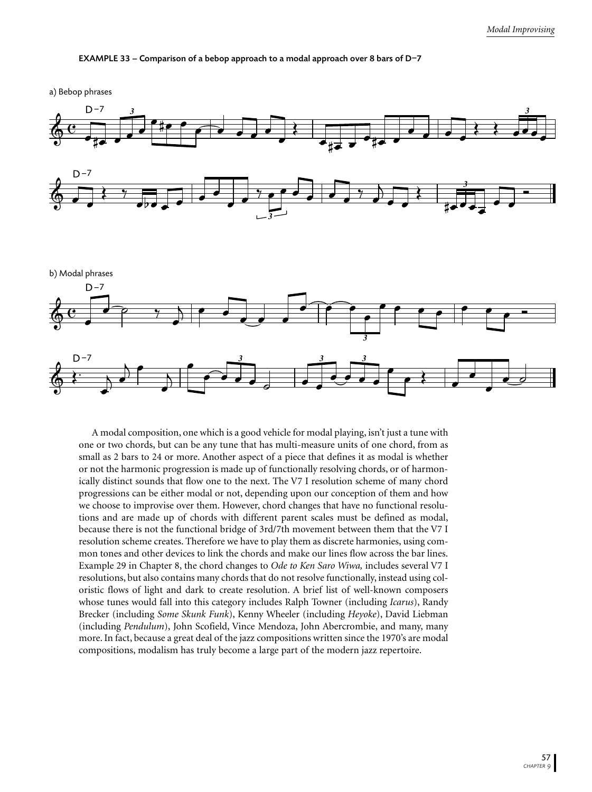#### EXAMPLE 33 – Comparison of a bebop approach to a modal approach over 8 bars of D–7

a) Bebop phrases

![](_page_11_Figure_3.jpeg)

A modal composition, one which is a good vehicle for modal playing, isn't just a tune with one or two chords, but can be any tune that has multi-measure units of one chord, from as small as 2 bars to 24 or more. Another aspect of a piece that defines it as modal is whether or not the harmonic progression is made up of functionally resolving chords, or of harmonically distinct sounds that flow one to the next. The V7 I resolution scheme of many chord progressions can be either modal or not, depending upon our conception of them and how we choose to improvise over them. However, chord changes that have no functional resolutions and are made up of chords with different parent scales must be defined as modal, because there is not the functional bridge of 3rd/7th movement between them that the V7 I resolution scheme creates. Therefore we have to play them as discrete harmonies, using common tones and other devices to link the chords and make our lines flow across the bar lines. Example 29 in Chapter 8, the chord changes to *Ode to Ken Saro Wiwa,* includes several V7 I resolutions, but also contains many chords that do not resolve functionally, instead using coloristic flows of light and dark to create resolution. A brief list of well-known composers whose tunes would fall into this category includes Ralph Towner (including *Icarus*), Randy Brecker (including *Some Skunk Funk*), Kenny Wheeler (including *Heyoke*), David Liebman (including *Pendulum*), John Scofield, Vince Mendoza, John Abercrombie, and many, many more. In fact, because a great deal of the jazz compositions written since the 1970's are modal compositions, modalism has truly become a large part of the modern jazz repertoire.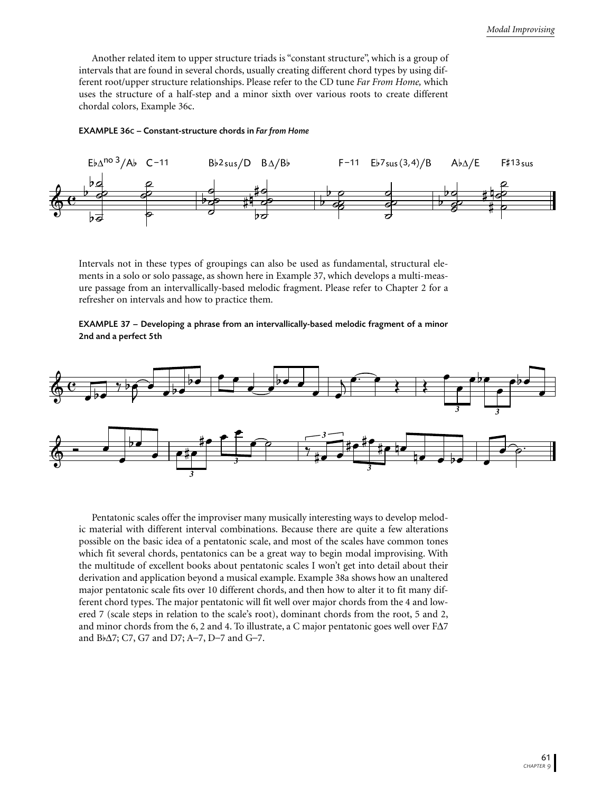Another related item to upper structure triads is "constant structure", which is a group of intervals that are found in several chords, usually creating different chord types by using different root/upper structure relationships. Please refer to the CD tune *Far From Home,* which uses the structure of a half-step and a minor sixth over various roots to create different chordal colors, Example 36c.

#### EXAMPLE 36C – Constant-structure chords in Far from Home

![](_page_12_Figure_3.jpeg)

Intervals not in these types of groupings can also be used as fundamental, structural elements in a solo or solo passage, as shown here in Example 37, which develops a multi-measure passage from an intervallically-based melodic fragment. Please refer to Chapter 2 for a refresher on intervals and how to practice them.

![](_page_12_Figure_5.jpeg)

![](_page_12_Figure_6.jpeg)

Pentatonic scales offer the improviser many musically interesting ways to develop melodic material with different interval combinations. Because there are quite a few alterations possible on the basic idea of a pentatonic scale, and most of the scales have common tones which fit several chords, pentatonics can be a great way to begin modal improvising. With the multitude of excellent books about pentatonic scales I won't get into detail about their derivation and application beyond a musical example. Example 38a shows how an unaltered major pentatonic scale fits over 10 different chords, and then how to alter it to fit many different chord types. The major pentatonic will fit well over major chords from the 4 and lowered 7 (scale steps in relation to the scale's root), dominant chords from the root, 5 and 2, and minor chords from the 6, 2 and 4. To illustrate, a C major pentatonic goes well over F∆7 and Bb∆7; C7, G7 and D7; A–7, D–7 and G–7.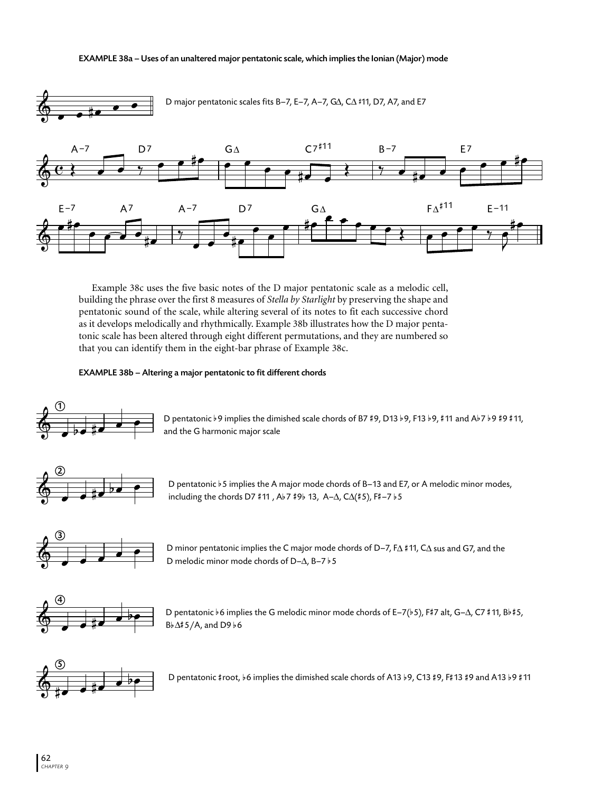#### EXAMPLE 38a – Uses of an unaltered major pentatonic scale, which implies the Ionian (Major) mode

![](_page_13_Figure_1.jpeg)

Example 38c uses the five basic notes of the D major pentatonic scale as a melodic cell, building the phrase over the first 8 measures of *Stella by Starlight* by preserving the shape and pentatonic sound of the scale, while altering several of its notes to fit each successive chord as it develops melodically and rhythmically. Example 38b illustrates how the D major pentatonic scale has been altered through eight different permutations, and they are numbered so that you can identify them in the eight-bar phrase of Example 38c.

#### EXAMPLE 38b – Altering a major pentatonic to fit different chords

![](_page_13_Figure_4.jpeg)

D pentatonic b9 implies the dimished scale chords of B7 #9, D13 b9, F13 b9, #11 and Ab7 b9 #9 #11, and the G harmonic major scale

![](_page_13_Figure_6.jpeg)

D pentatonic  $\flat$  5 implies the A major mode chords of B-13 and E7, or A melodic minor modes, including the chords D7 #11 , Ab7 #9b 13, A–∆, C∆(#5), F#–7 b<sup>5</sup>

![](_page_13_Figure_8.jpeg)

D minor pentatonic implies the C major mode chords of D–7, F<sup>∆</sup> #11, C∆ sus and G7, and the D melodic minor mode chords of D–∆, B–7 b<sup>5</sup>

![](_page_13_Figure_10.jpeg)

D pentatonic b6 implies the G melodic minor mode chords of E-7(b5), F#7 alt, G- $\Delta$ , C7 #11, Bb#5, <sup>B</sup>b∆#5/A, and D9 b<sup>6</sup>

![](_page_13_Figure_12.jpeg)

D pentatonic #root, b6 implies the dimished scale chords of A13 b9, C13 #9, F#13 #9 and A13 b9 #<sup>11</sup>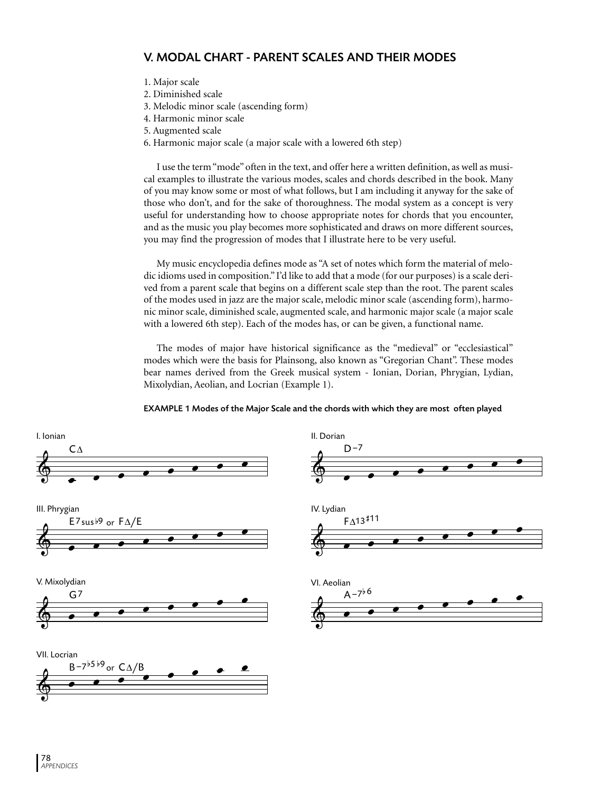# V. MODAL CHART - PARENT SCALES AND THEIR MODES

- 1. Major scale
- 2. Diminished scale
- 3. Melodic minor scale (ascending form)
- 4. Harmonic minor scale
- 5. Augmented scale
- 6. Harmonic major scale (a major scale with a lowered 6th step)

I use the term "mode" often in the text, and offer here a written definition, as well as musical examples to illustrate the various modes, scales and chords described in the book. Many of you may know some or most of what follows, but I am including it anyway for the sake of those who don't, and for the sake of thoroughness. The modal system as a concept is very useful for understanding how to choose appropriate notes for chords that you encounter, and as the music you play becomes more sophisticated and draws on more different sources, you may find the progression of modes that I illustrate here to be very useful.

My music encyclopedia defines mode as "A set of notes which form the material of melodic idioms used in composition." I'd like to add that a mode (for our purposes) is a scale derived from a parent scale that begins on a different scale step than the root. The parent scales of the modes used in jazz are the major scale, melodic minor scale (ascending form), harmonic minor scale, diminished scale, augmented scale, and harmonic major scale (a major scale with a lowered 6th step). Each of the modes has, or can be given, a functional name.

The modes of major have historical significance as the "medieval" or "ecclesiastical" modes which were the basis for Plainsong, also known as "Gregorian Chant". These modes bear names derived from the Greek musical system - Ionian, Dorian, Phrygian, Lydian, Mixolydian, Aeolian, and Locrian (Example 1).

### EXAMPLE 1 Modes of the Major Scale and the chords with which they are most often played

![](_page_14_Figure_11.jpeg)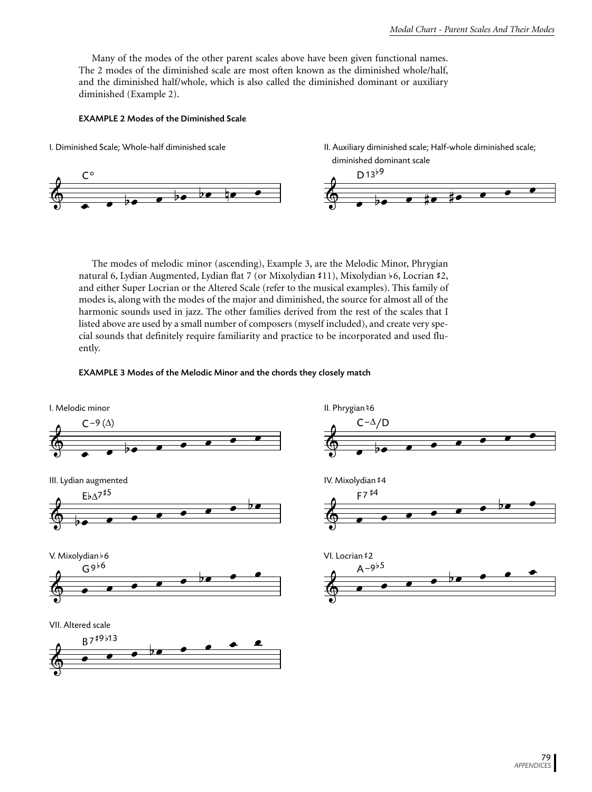II. Auxiliary diminished scale; Half-whole diminished scale;

Many of the modes of the other parent scales above have been given functional names. The 2 modes of the diminished scale are most often known as the diminished whole/half, and the diminished half/whole, which is also called the diminished dominant or auxiliary diminished (Example 2).

#### EXAMPLE 2 Modes of the Diminished Scale

I. Diminished Scale; Whole-half diminished scale

![](_page_15_Figure_4.jpeg)

The modes of melodic minor (ascending), Example 3, are the Melodic Minor, Phrygian natural 6, Lydian Augmented, Lydian flat 7 (or Mixolydian #11), Mixolydian ♭6, Locrian #2, and either Super Locrian or the Altered Scale (refer to the musical examples). This family of modes is, along with the modes of the major and diminished, the source for almost all of the harmonic sounds used in jazz. The other families derived from the rest of the scales that I listed above are used by a small number of composers (myself included), and create very special sounds that definitely require familiarity and practice to be incorporated and used fluently.

#### EXAMPLE 3 Modes of the Melodic Minor and the chords they closely match

![](_page_15_Figure_7.jpeg)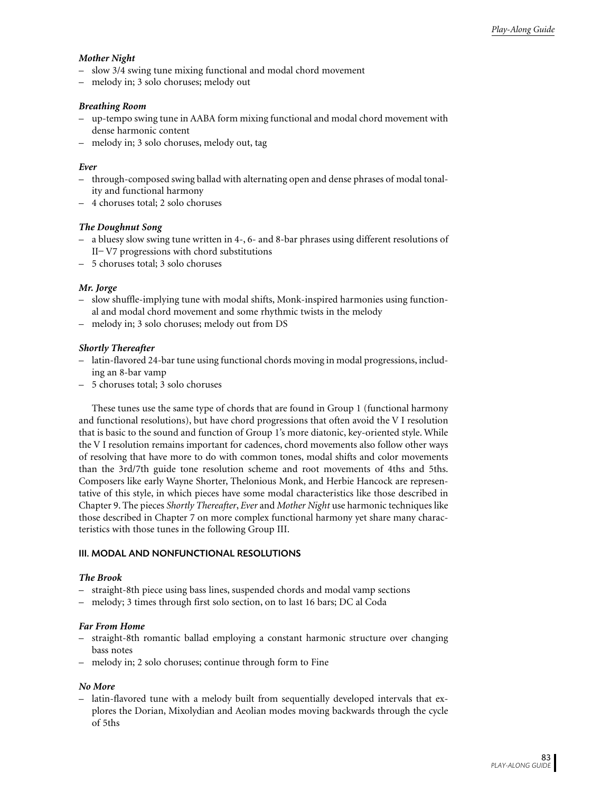# *Mother Night*

- slow 3/4 swing tune mixing functional and modal chord movement
- melody in; 3 solo choruses; melody out

# *Breathing Room*

- up-tempo swing tune in AABA form mixing functional and modal chord movement with dense harmonic content
- melody in; 3 solo choruses, melody out, tag

### *Ever*

- through-composed swing ballad with alternating open and dense phrases of modal tonality and functional harmony
- 4 choruses total; 2 solo choruses

# *The Doughnut Song*

- a bluesy slow swing tune written in 4-, 6- and 8-bar phrases using different resolutions of II– V7 progressions with chord substitutions
- 5 choruses total; 3 solo choruses

# *Mr. Jorge*

- slow shuffle-implying tune with modal shifts, Monk-inspired harmonies using functional and modal chord movement and some rhythmic twists in the melody
- melody in; 3 solo choruses; melody out from DS

# *Shortly Thereafter*

- latin-flavored 24-bar tune using functional chords moving in modal progressions, including an 8-bar vamp
- 5 choruses total; 3 solo choruses

These tunes use the same type of chords that are found in Group 1 (functional harmony and functional resolutions), but have chord progressions that often avoid the V I resolution that is basic to the sound and function of Group 1's more diatonic, key-oriented style. While the V I resolution remains important for cadences, chord movements also follow other ways of resolving that have more to do with common tones, modal shifts and color movements than the 3rd/7th guide tone resolution scheme and root movements of 4ths and 5ths. Composers like early Wayne Shorter, Thelonious Monk, and Herbie Hancock are representative of this style, in which pieces have some modal characteristics like those described in Chapter 9. The pieces *Shortly Thereafter*, *Ever* and *Mother Night* use harmonic techniques like those described in Chapter 7 on more complex functional harmony yet share many characteristics with those tunes in the following Group III.

### III. MODAL AND NONFUNCTIONAL RESOLUTIONS

### *The Brook*

- straight-8th piece using bass lines, suspended chords and modal vamp sections
- melody; 3 times through first solo section, on to last 16 bars; DC al Coda

### *Far From Home*

- straight-8th romantic ballad employing a constant harmonic structure over changing bass notes
- melody in; 2 solo choruses; continue through form to Fine

### *No More*

– latin-flavored tune with a melody built from sequentially developed intervals that explores the Dorian, Mixolydian and Aeolian modes moving backwards through the cycle of 5ths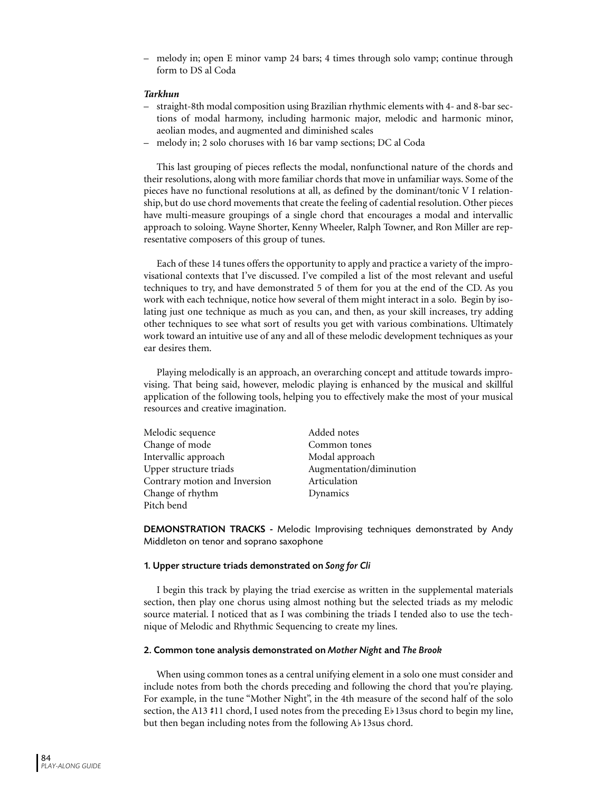– melody in; open E minor vamp 24 bars; 4 times through solo vamp; continue through form to DS al Coda

#### *Tarkhun*

- straight-8th modal composition using Brazilian rhythmic elements with 4- and 8-bar sections of modal harmony, including harmonic major, melodic and harmonic minor, aeolian modes, and augmented and diminished scales
- melody in; 2 solo choruses with 16 bar vamp sections; DC al Coda

This last grouping of pieces reflects the modal, nonfunctional nature of the chords and their resolutions, along with more familiar chords that move in unfamiliar ways. Some of the pieces have no functional resolutions at all, as defined by the dominant/tonic V I relationship, but do use chord movements that create the feeling of cadential resolution. Other pieces have multi-measure groupings of a single chord that encourages a modal and intervallic approach to soloing. Wayne Shorter, Kenny Wheeler, Ralph Towner, and Ron Miller are representative composers of this group of tunes.

Each of these 14 tunes offers the opportunity to apply and practice a variety of the improvisational contexts that I've discussed. I've compiled a list of the most relevant and useful techniques to try, and have demonstrated 5 of them for you at the end of the CD. As you work with each technique, notice how several of them might interact in a solo. Begin by isolating just one technique as much as you can, and then, as your skill increases, try adding other techniques to see what sort of results you get with various combinations. Ultimately work toward an intuitive use of any and all of these melodic development techniques as your ear desires them.

Playing melodically is an approach, an overarching concept and attitude towards improvising. That being said, however, melodic playing is enhanced by the musical and skillful application of the following tools, helping you to effectively make the most of your musical resources and creative imagination.

| Melodic sequence              | Added notes             |
|-------------------------------|-------------------------|
| Change of mode                | Common tones            |
| Intervallic approach          | Modal approach          |
| Upper structure triads        | Augmentation/diminution |
| Contrary motion and Inversion | Articulation            |
| Change of rhythm              | Dynamics                |
| Pitch bend                    |                         |

DEMONSTRATION TRACKS - Melodic Improvising techniques demonstrated by Andy Middleton on tenor and soprano saxophone

#### 1. Upper structure triads demonstrated on Song for Cli

I begin this track by playing the triad exercise as written in the supplemental materials section, then play one chorus using almost nothing but the selected triads as my melodic source material. I noticed that as I was combining the triads I tended also to use the technique of Melodic and Rhythmic Sequencing to create my lines.

#### 2. Common tone analysis demonstrated on Mother Night and The Brook

When using common tones as a central unifying element in a solo one must consider and include notes from both the chords preceding and following the chord that you're playing. For example, in the tune "Mother Night", in the 4th measure of the second half of the solo section, the A13 #11 chord, I used notes from the preceding Eb 13sus chord to begin my line, but then began including notes from the following Ab 13sus chord.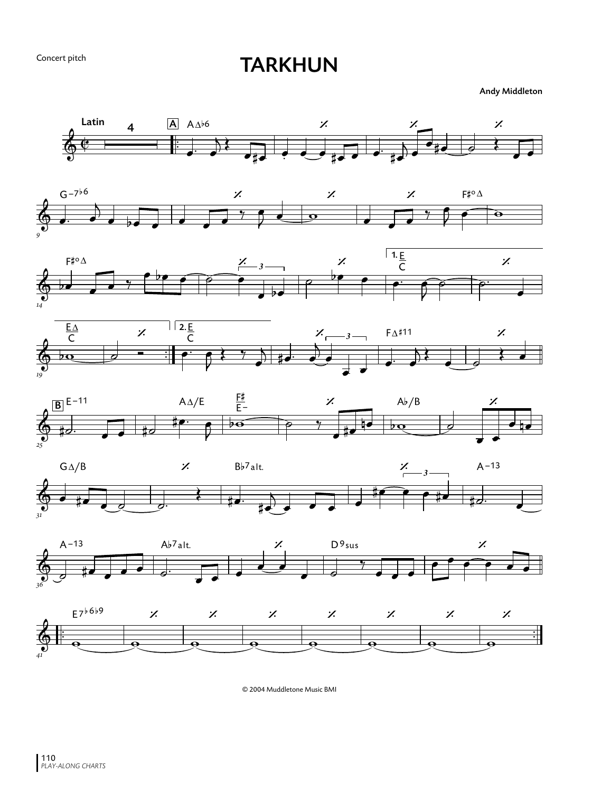Concert pitch

# **TARKHUN**

**Andy Middleton** 

![](_page_18_Figure_3.jpeg)

![](_page_18_Figure_4.jpeg)

![](_page_18_Figure_5.jpeg)

![](_page_18_Figure_6.jpeg)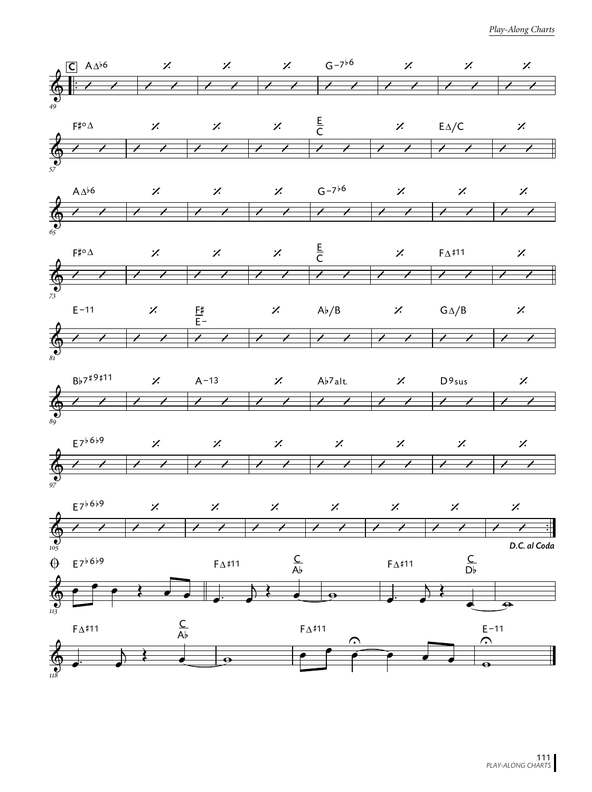![](_page_19_Figure_1.jpeg)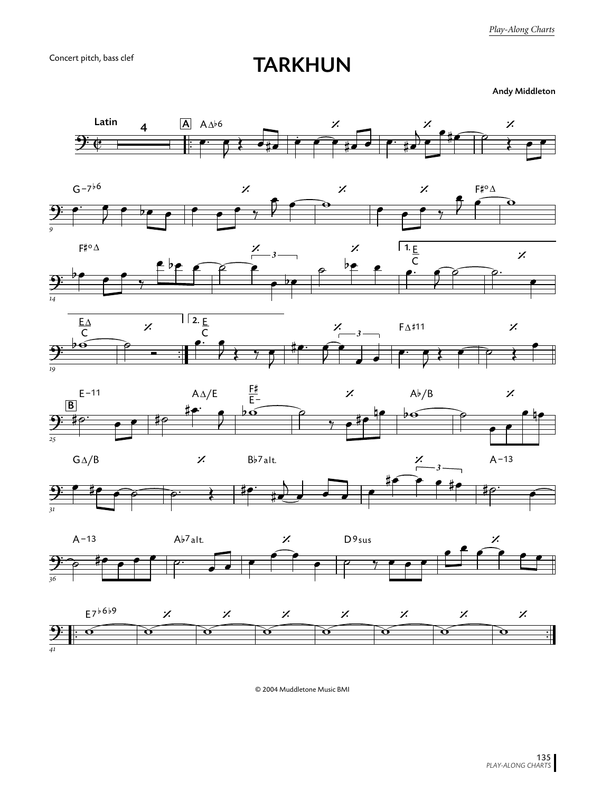# **TARKHUN**

Concert pitch, bass clef

 $\frac{1}{41}$ 

Andy Middleton

![](_page_20_Figure_4.jpeg)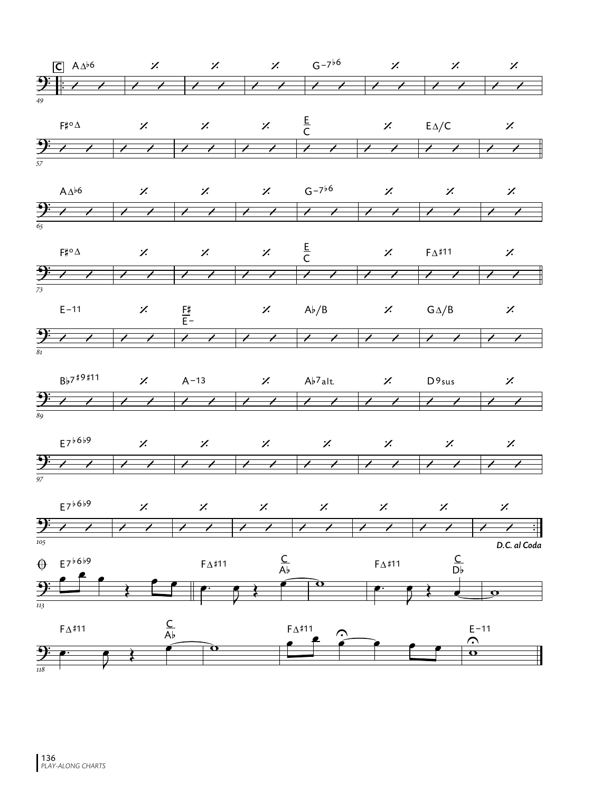![](_page_21_Figure_0.jpeg)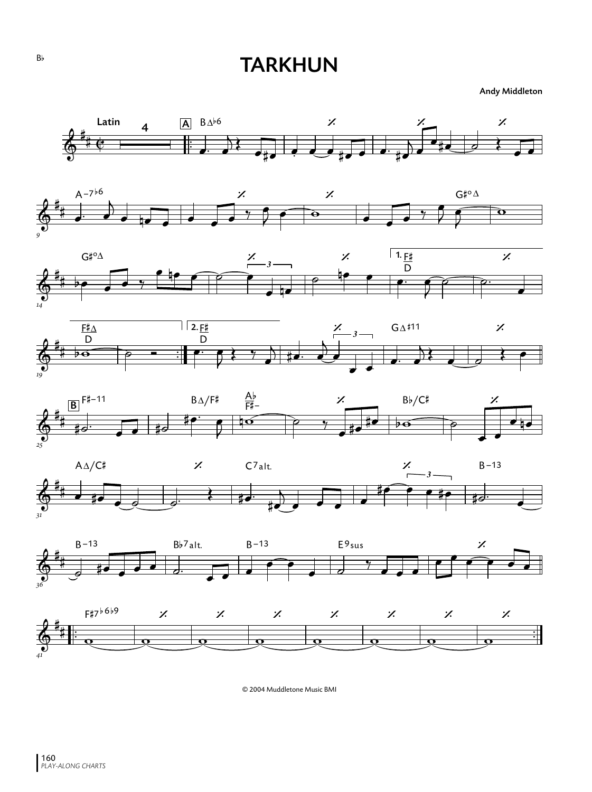# **TARKHUN**

**Andy Middleton** 

![](_page_22_Figure_2.jpeg)

![](_page_22_Figure_3.jpeg)

![](_page_22_Figure_4.jpeg)

![](_page_22_Figure_5.jpeg)

![](_page_22_Figure_6.jpeg)

![](_page_22_Figure_7.jpeg)

![](_page_22_Figure_8.jpeg)

![](_page_22_Figure_9.jpeg)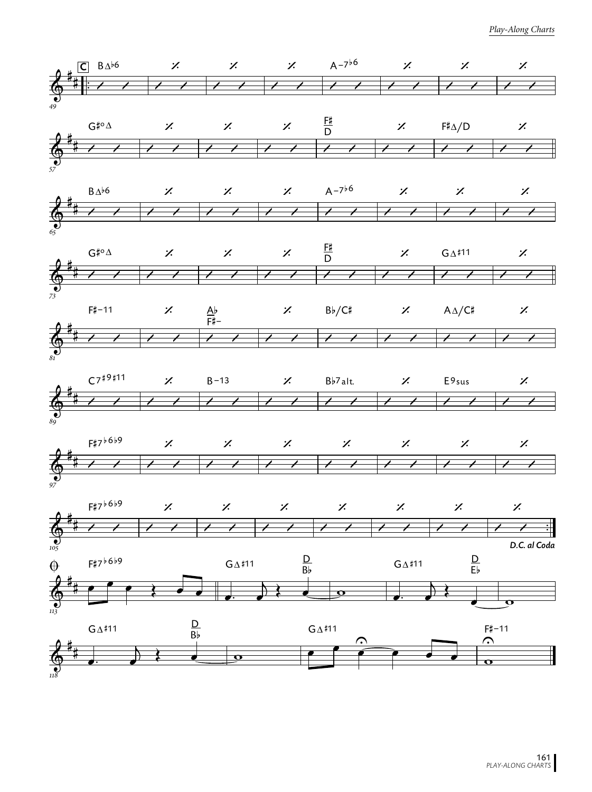# *Play-Along Charts*

![](_page_23_Figure_1.jpeg)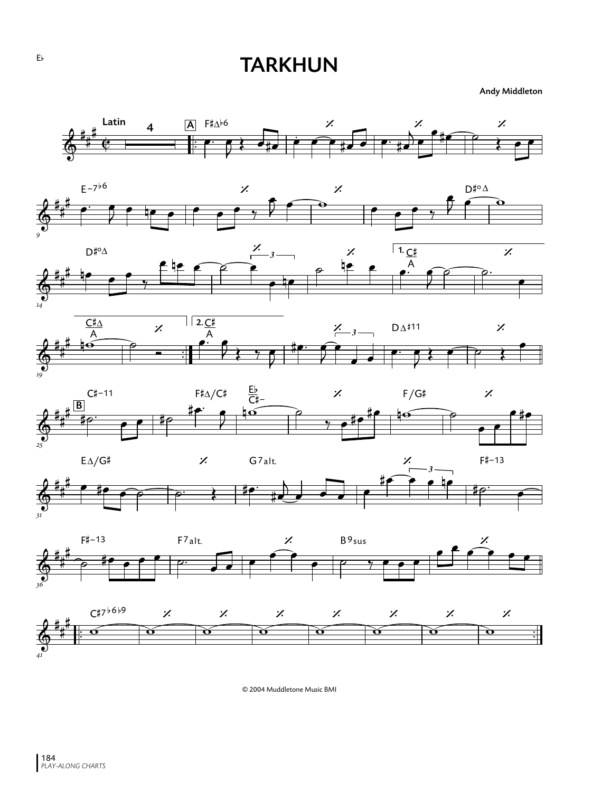# **TARKHUN**

**Andy Middleton** 

![](_page_24_Figure_2.jpeg)